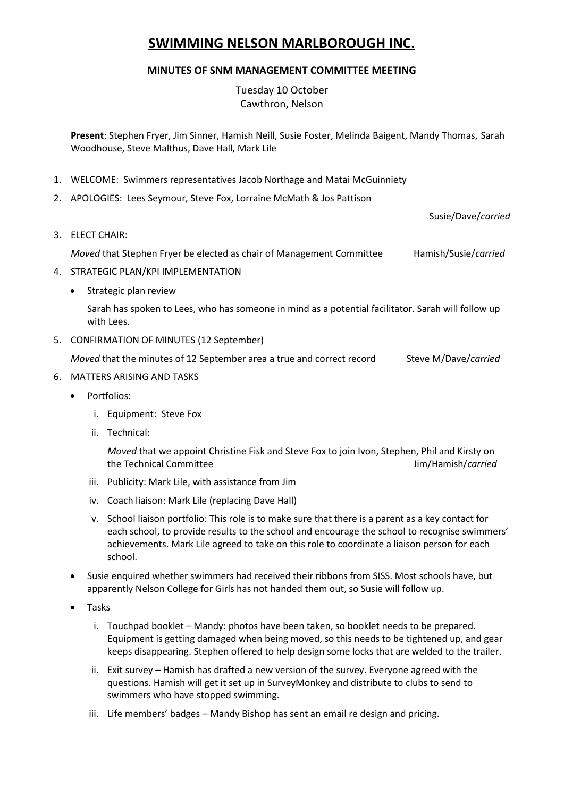# **SWIMMING NELSON MARLBOROUGH INC.**

# **MINUTES OF SNM MANAGEMENT COMMITTEE MEETING**

Tuesday 10 October Cawthron, Nelson

**Present**: Stephen Fryer, Jim Sinner, Hamish Neill, Susie Foster, Melinda Baigent, Mandy Thomas, Sarah Woodhouse, Steve Malthus, Dave Hall, Mark Lile

- 1. WELCOME: Swimmers representatives Jacob Northage and Matai McGuinniety
- 2. APOLOGIES: Lees Seymour, Steve Fox, Lorraine McMath & Jos Pattison

Susie/Dave/*carried*

3. ELECT CHAIR:

*Moved* that Stephen Fryer be elected as chair of Management Committee Hamish/Susie/*carried*

- 4. STRATEGIC PLAN/KPI IMPLEMENTATION
	- Strategic plan review

Sarah has spoken to Lees, who has someone in mind as a potential facilitator. Sarah will follow up with Lees.

5. CONFIRMATION OF MINUTES (12 September)

*Moved* that the minutes of 12 September area a true and correct record Steve M/Dave/*carried* 

- 6. MATTERS ARISING AND TASKS
	- Portfolios:
		- i. Equipment: Steve Fox
		- ii. Technical:

*Moved* that we appoint Christine Fisk and Steve Fox to join Ivon, Stephen, Phil and Kirsty on the Technical Committee Jim/Hamish/*carried*

- iii. Publicity: Mark Lile, with assistance from Jim
- iv. Coach liaison: Mark Lile (replacing Dave Hall)
- v. School liaison portfolio: This role is to make sure that there is a parent as a key contact for each school, to provide results to the school and encourage the school to recognise swimmers' achievements. Mark Lile agreed to take on this role to coordinate a liaison person for each school.
- Susie enquired whether swimmers had received their ribbons from SISS. Most schools have, but apparently Nelson College for Girls has not handed them out, so Susie will follow up.
- Tasks
	- i. Touchpad booklet Mandy: photos have been taken, so booklet needs to be prepared. Equipment is getting damaged when being moved, so this needs to be tightened up, and gear keeps disappearing. Stephen offered to help design some locks that are welded to the trailer.
	- ii. Exit survey Hamish has drafted a new version of the survey. Everyone agreed with the questions. Hamish will get it set up in SurveyMonkey and distribute to clubs to send to swimmers who have stopped swimming.
	- iii. Life members' badges Mandy Bishop has sent an email re design and pricing.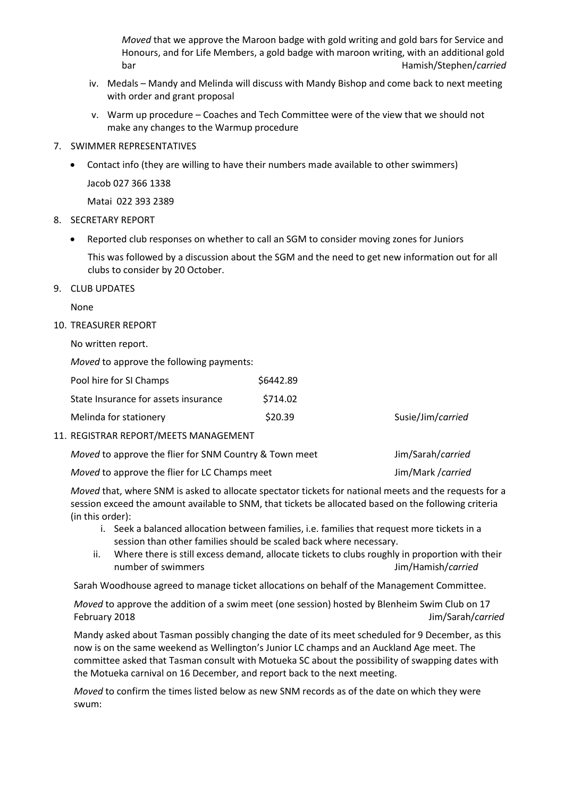*Moved* that we approve the Maroon badge with gold writing and gold bars for Service and Honours, and for Life Members, a gold badge with maroon writing, with an additional gold bar Hamish/Stephen/*carried*

- iv. Medals Mandy and Melinda will discuss with Mandy Bishop and come back to next meeting with order and grant proposal
- v. Warm up procedure Coaches and Tech Committee were of the view that we should not make any changes to the Warmup procedure
- 7. SWIMMER REPRESENTATIVES
	- Contact info (they are willing to have their numbers made available to other swimmers) Jacob 027 366 1338

Matai 022 393 2389

#### 8. SECRETARY REPORT

Reported club responses on whether to call an SGM to consider moving zones for Juniors

This was followed by a discussion about the SGM and the need to get new information out for all clubs to consider by 20 October.

#### 9. CLUB UPDATES

None

#### 10. TREASURER REPORT

No written report.

*Moved* to approve the following payments:

| Pool hire for SI Champs              | \$6442.89 |  |
|--------------------------------------|-----------|--|
| State Insurance for assets insurance | \$714.02  |  |
| Melinda for stationery               | \$20.39   |  |

11. REGISTRAR REPORT/MEETS MANAGEMENT

| Moved to approve the flier for SNM Country & Town meet | Jim/Sarah/carried |
|--------------------------------------------------------|-------------------|
| <i>Moved</i> to approve the flier for LC Champs meet   | Jim/Mark /carried |

*Moved* that, where SNM is asked to allocate spectator tickets for national meets and the requests for a session exceed the amount available to SNM, that tickets be allocated based on the following criteria (in this order):

Susie/Jim/*carried* 

- i. Seek a balanced allocation between families, i.e. families that request more tickets in a session than other families should be scaled back where necessary.
- ii. Where there is still excess demand, allocate tickets to clubs roughly in proportion with their number of swimmers Jim/Hamish/*carried*

Sarah Woodhouse agreed to manage ticket allocations on behalf of the Management Committee.

*Moved* to approve the addition of a swim meet (one session) hosted by Blenheim Swim Club on 17 February 2018 Jim/Sarah/*carried*

Mandy asked about Tasman possibly changing the date of its meet scheduled for 9 December, as this now is on the same weekend as Wellington's Junior LC champs and an Auckland Age meet. The committee asked that Tasman consult with Motueka SC about the possibility of swapping dates with the Motueka carnival on 16 December, and report back to the next meeting.

*Moved* to confirm the times listed below as new SNM records as of the date on which they were swum: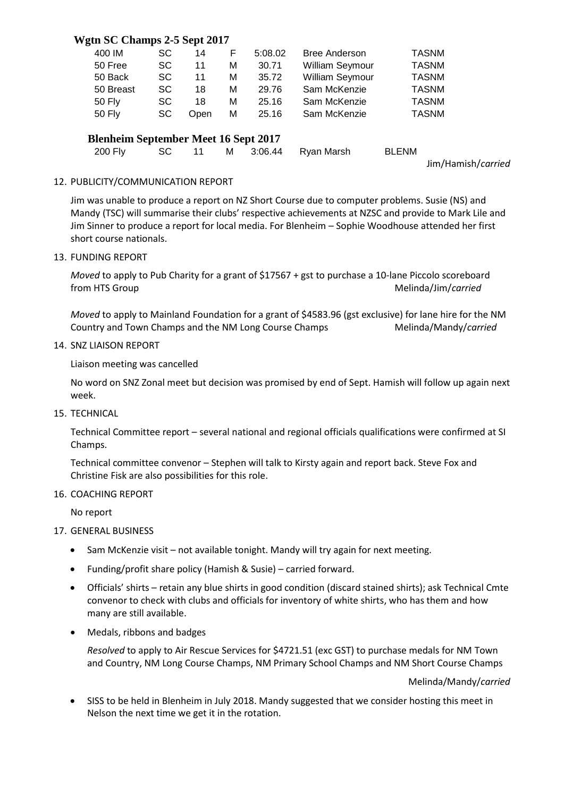# **Wgtn SC Champs 2-5 Sept 2017**

| 400 IM                                      | <b>SC</b> | 14   | F | 5:08.02 | <b>Bree Anderson</b> | <b>TASNM</b> |  |  |
|---------------------------------------------|-----------|------|---|---------|----------------------|--------------|--|--|
| 50 Free                                     | <b>SC</b> | 11   | М | 30.71   | William Seymour      | <b>TASNM</b> |  |  |
| 50 Back                                     | <b>SC</b> | 11   | м | 35.72   | William Seymour      | <b>TASNM</b> |  |  |
| 50 Breast                                   | <b>SC</b> | 18   | M | 29.76   | Sam McKenzie         | <b>TASNM</b> |  |  |
| <b>50 Fly</b>                               | <b>SC</b> | 18   | М | 25.16   | Sam McKenzie         | <b>TASNM</b> |  |  |
| <b>50 Fly</b>                               | <b>SC</b> | Open | м | 25.16   | Sam McKenzie         | <b>TASNM</b> |  |  |
| <b>Blenheim September Meet 16 Sept 2017</b> |           |      |   |         |                      |              |  |  |
| 200 Fly                                     | SC        | 11   | м | 3:06.44 | Ryan Marsh           | <b>BLENM</b> |  |  |

Jim/Hamish/*carried*

### 12. PUBLICITY/COMMUNICATION REPORT

Jim was unable to produce a report on NZ Short Course due to computer problems. Susie (NS) and Mandy (TSC) will summarise their clubs' respective achievements at NZSC and provide to Mark Lile and Jim Sinner to produce a report for local media. For Blenheim – Sophie Woodhouse attended her first short course nationals.

13. FUNDING REPORT

*Moved* to apply to Pub Charity for a grant of \$17567 + gst to purchase a 10-lane Piccolo scoreboard from HTS Group **Melinda/Jim/carried** 

*Moved* to apply to Mainland Foundation for a grant of \$4583.96 (gst exclusive) for lane hire for the NM Country and Town Champs and the NM Long Course Champs Melinda/Mandy/*carried* 

14. SNZ LIAISON REPORT

Liaison meeting was cancelled

No word on SNZ Zonal meet but decision was promised by end of Sept. Hamish will follow up again next week.

15. TECHNICAL

Technical Committee report – several national and regional officials qualifications were confirmed at SI Champs.

Technical committee convenor – Stephen will talk to Kirsty again and report back. Steve Fox and Christine Fisk are also possibilities for this role.

#### 16. COACHING REPORT

No report

## 17. GENERAL BUSINESS

- Sam McKenzie visit not available tonight. Mandy will try again for next meeting.
- Funding/profit share policy (Hamish & Susie) carried forward.
- Officials' shirts retain any blue shirts in good condition (discard stained shirts); ask Technical Cmte convenor to check with clubs and officials for inventory of white shirts, who has them and how many are still available.
- Medals, ribbons and badges

*Resolved* to apply to Air Rescue Services for \$4721.51 (exc GST) to purchase medals for NM Town and Country, NM Long Course Champs, NM Primary School Champs and NM Short Course Champs

Melinda/Mandy/*carried*

 SISS to be held in Blenheim in July 2018. Mandy suggested that we consider hosting this meet in Nelson the next time we get it in the rotation.